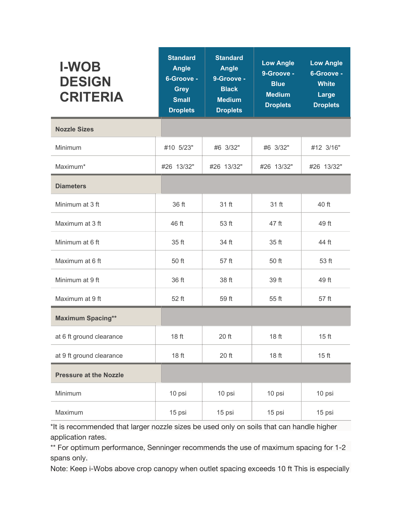| <b>I-WOB</b><br><b>DESIGN</b><br><b>CRITERIA</b> | <b>Standard</b><br><b>Angle</b><br>6-Groove -<br><b>Grey</b><br><b>Small</b><br><b>Droplets</b> | <b>Standard</b><br><b>Angle</b><br>9-Groove -<br><b>Black</b><br><b>Medium</b><br><b>Droplets</b> | <b>Low Angle</b><br>9-Groove -<br><b>Blue</b><br><b>Medium</b><br><b>Droplets</b> | <b>Low Angle</b><br>6-Groove -<br><b>White</b><br>Large<br><b>Droplets</b> |
|--------------------------------------------------|-------------------------------------------------------------------------------------------------|---------------------------------------------------------------------------------------------------|-----------------------------------------------------------------------------------|----------------------------------------------------------------------------|
| <b>Nozzle Sizes</b>                              |                                                                                                 |                                                                                                   |                                                                                   |                                                                            |
| Minimum                                          | #10 5/23"                                                                                       | #6 3/32"                                                                                          | #6 3/32"                                                                          | #12 3/16"                                                                  |
| Maximum*                                         | #26 13/32"                                                                                      | #26 13/32"                                                                                        | #26 13/32"                                                                        | #26 13/32"                                                                 |
| <b>Diameters</b>                                 |                                                                                                 |                                                                                                   |                                                                                   |                                                                            |
| Minimum at 3 ft                                  | 36 ft                                                                                           | 31 ft                                                                                             | 31 ft                                                                             | 40 ft                                                                      |
| Maximum at 3 ft                                  | 46 ft                                                                                           | 53 ft                                                                                             | 47 ft                                                                             | 49 ft                                                                      |
| Minimum at 6 ft                                  | 35 ft                                                                                           | 34 ft                                                                                             | 35 ft                                                                             | 44 ft                                                                      |
| Maximum at 6 ft                                  | 50 ft                                                                                           | 57 ft                                                                                             | 50 ft                                                                             | 53 ft                                                                      |
| Minimum at 9 ft                                  | 36 ft                                                                                           | 38 ft                                                                                             | 39 ft                                                                             | 49 ft                                                                      |
| Maximum at 9 ft                                  | 52 ft                                                                                           | 59 ft                                                                                             | 55 ft                                                                             | 57 ft                                                                      |
| <b>Maximum Spacing**</b>                         |                                                                                                 |                                                                                                   |                                                                                   |                                                                            |
| at 6 ft ground clearance                         | 18 ft                                                                                           | 20 ft                                                                                             | 18 ft                                                                             | 15 <sub>ft</sub>                                                           |
| at 9 ft ground clearance                         | 18 ft                                                                                           | 20 ft                                                                                             | 18 ft                                                                             | 15 ft                                                                      |
| <b>Pressure at the Nozzle</b>                    |                                                                                                 |                                                                                                   |                                                                                   |                                                                            |
| Minimum                                          | 10 psi                                                                                          | 10 psi                                                                                            | 10 psi                                                                            | 10 psi                                                                     |
| Maximum                                          | 15 psi                                                                                          | 15 psi                                                                                            | 15 psi                                                                            | 15 psi                                                                     |

\*It is recommended that larger nozzle sizes be used only on soils that can handle higher application rates.

\*\* For optimum performance, Senninger recommends the use of maximum spacing for 1-2 spans only.

Note: Keep i-Wobs above crop canopy when outlet spacing exceeds 10 ft This is especially